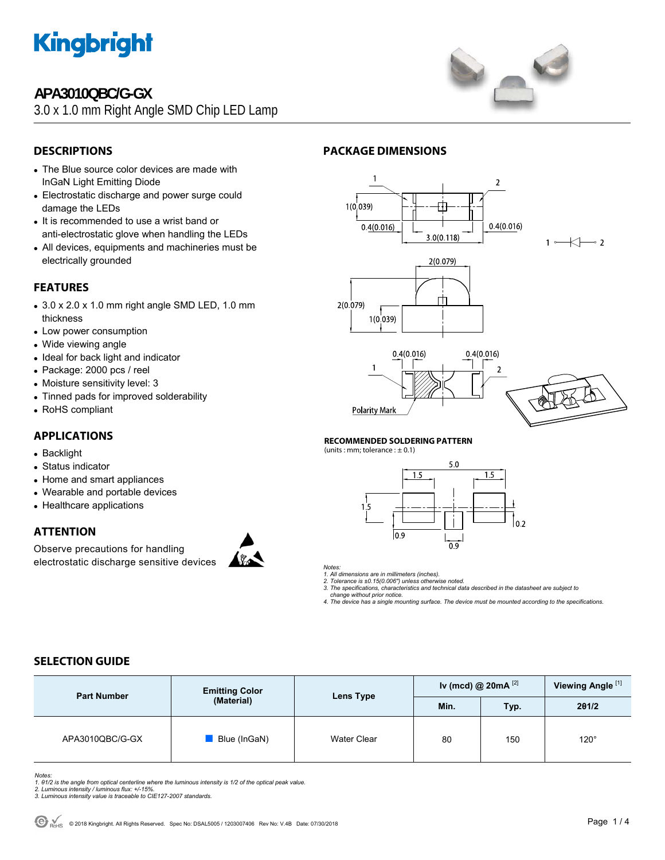

## **APA3010QBC/G-GX**

3.0 x 1.0 mm Right Angle SMD Chip LED Lamp



## **DESCRIPTIONS**

- The Blue source color devices are made with InGaN Light Emitting Diode
- Electrostatic discharge and power surge could damage the LEDs
- It is recommended to use a wrist band or anti-electrostatic glove when handling the LEDs
- All devices, equipments and machineries must be electrically grounded

### **FEATURES**

- $\bullet$  3.0 x 2.0 x 1.0 mm right angle SMD LED, 1.0 mm thickness
- Low power consumption
- Wide viewing angle
- Ideal for back light and indicator
- Package: 2000 pcs / reel
- Moisture sensitivity level: 3
- Tinned pads for improved solderability
- RoHS compliant

### **APPLICATIONS**

- Backlight
- Status indicator
- Home and smart appliances
- Wearable and portable devices
- Healthcare applications

### **ATTENTION**

Observe precautions for handling electrostatic discharge sensitive devices



#### **PACKAGE DIMENSIONS**



#### **RECOMMENDED SOLDERING PATTERN**

(units : mm; tolerance :  $\pm$  0.1)



*Notes:* 

*1. All dimensions are in millimeters (inches). 2. Tolerance is ±0.15(0.006") unless otherwise noted.* 

*3. The specifications, characteristics and technical data described in the datasheet are subject to* 

 *change without prior notice. 4. The device has a single mounting surface. The device must be mounted according to the specifications.* 

### **SELECTION GUIDE**

| <b>Part Number</b> | <b>Emitting Color</b> | Lens Type          | Iv (mcd) @ 20mA $^{[2]}$ |            | Viewing Angle <sup>[1]</sup> |
|--------------------|-----------------------|--------------------|--------------------------|------------|------------------------------|
|                    | (Material)            |                    | Min.                     | <b>Typ</b> | 201/2                        |
| APA3010QBC/G-GX    | Blue (InGaN)          | <b>Water Clear</b> | 80                       | 150        | $120^\circ$                  |

*Notes:* 

*1. θ1/2 is the angle from optical centerline where the luminous intensity is 1/2 of the optical peak value. 2. Luminous intensity / luminous flux: +/-15%.* 

*3. Luminous intensity value is traceable to CIE127-2007 standards.*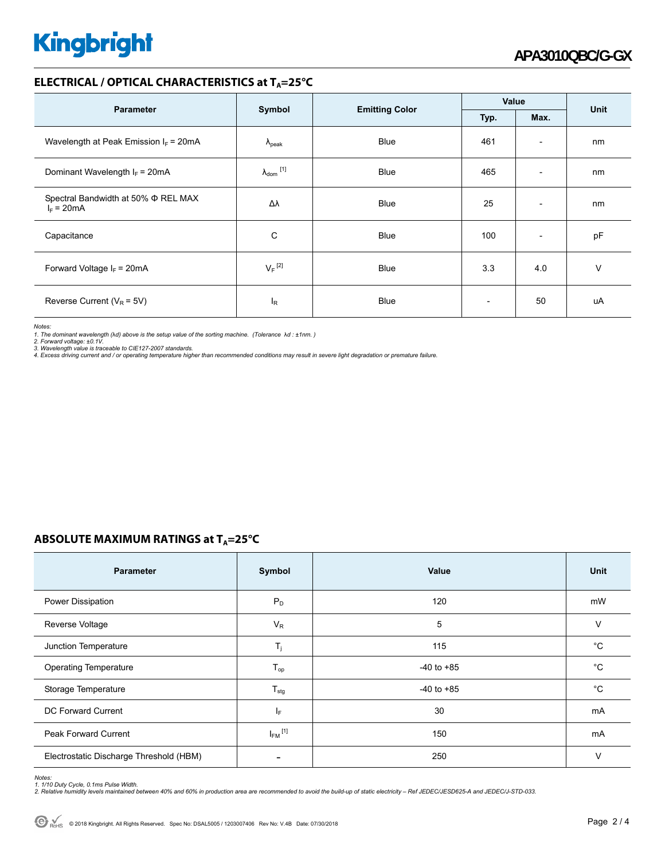# **Kingbright**

#### **ELECTRICAL / OPTICAL CHARACTERISTICS at T<sub>A</sub>=25°C**

| <b>Parameter</b>                                         |                            |                       | Value                    |                          | <b>Unit</b> |
|----------------------------------------------------------|----------------------------|-----------------------|--------------------------|--------------------------|-------------|
|                                                          | Symbol                     | <b>Emitting Color</b> | Typ.                     | Max.                     |             |
| Wavelength at Peak Emission $I_F$ = 20mA                 | $\lambda_{\rm peak}$       | <b>Blue</b>           | 461                      | $\overline{\phantom{a}}$ | nm          |
| Dominant Wavelength $I_F = 20 \text{mA}$                 | $\lambda_{\text{dom}}$ [1] | <b>Blue</b>           | 465                      | $\overline{\phantom{a}}$ | nm          |
| Spectral Bandwidth at 50% $\Phi$ REL MAX<br>$I_F = 20mA$ | Δλ                         | <b>Blue</b>           | 25                       | $\overline{\phantom{a}}$ | nm          |
| Capacitance                                              | С                          | <b>Blue</b>           | 100                      | $\overline{\phantom{a}}$ | pF          |
| Forward Voltage $I_F = 20mA$                             | $V_F$ <sup>[2]</sup>       | <b>Blue</b>           | 3.3                      | 4.0                      | v           |
| Reverse Current ( $V_R$ = 5V)                            | l <sub>R</sub>             | <b>Blue</b>           | $\overline{\phantom{a}}$ | 50                       | uA          |

*Notes:* 

1. The dominant wavelength (λd) above is the setup value of the sorting machine. (Tolerance λd : ±1nm. )<br>2. Forward voltage: ±0.1V.<br>3. Wavelength value is traceable to CIE127-2007 standards.<br>4. Excess driving current and /

## **ABSOLUTE MAXIMUM RATINGS at T<sub>A</sub>=25°C**

| <b>Parameter</b>                        | Symbol                  | Value          | Unit        |
|-----------------------------------------|-------------------------|----------------|-------------|
| Power Dissipation                       | $P_D$                   | 120            | mW          |
| Reverse Voltage                         | $V_R$                   | 5              | $\vee$      |
| Junction Temperature                    | $T_i$                   | 115            | $^{\circ}C$ |
| <b>Operating Temperature</b>            | $T_{op}$                | $-40$ to $+85$ | $^{\circ}C$ |
| Storage Temperature                     | $T_{\text{stg}}$        | $-40$ to $+85$ | $^{\circ}C$ |
| DC Forward Current                      | IF.                     | 30             | mA          |
| <b>Peak Forward Current</b>             | $I_{FM}$ <sup>[1]</sup> | 150            | mA          |
| Electrostatic Discharge Threshold (HBM) |                         | 250            | $\vee$      |

Notes:<br>1. 1/10 Duty Cycle, 0.1ms Pulse Width.<br>2. Relative humidity levels maintained between 40% and 60% in production area are recommended to avoid the build-up of static electricity – Ref JEDEC/JESD625-A and JEDEC/J-STD-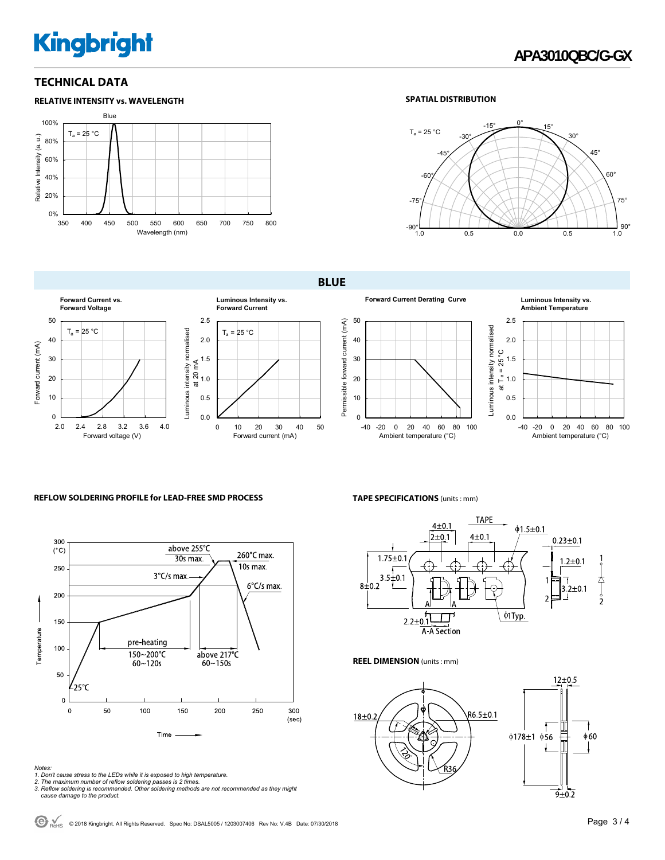# **Kingbright**

#### **TECHNICAL DATA**



#### **SPATIAL DISTRIBUTION**



**BLUE** 



## **Ambient Temperature**



#### **REFLOW SOLDERING PROFILE for LEAD-FREE SMD PROCESS**



#### **TAPE SPECIFICATIONS** (units : mm)



#### **REEL DIMENSION** (units : mm)



*Notes:* 

- 
- 
- 1. Don't cause stress to the LEDs while it is exposed to high temperature.<br>2. The maximum number of reflow soldering passes is 2 times.<br>3. Reflow soldering is recommended. Other soldering methods are not recommended as the